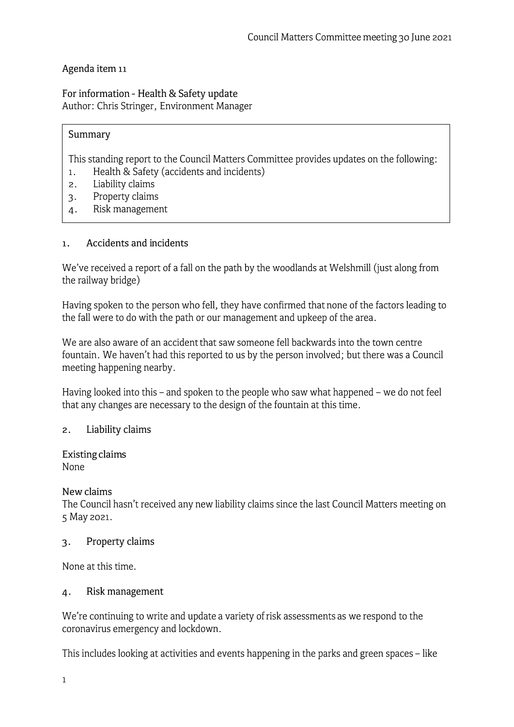# Agenda item <sup>11</sup>

For information - Health & Safety update Author: Chris Stringer, Environment Manager

#### Summary

This standing report to the Council Matters Committee provides updates on the following:

- 1. Health & Safety (accidents and incidents)
- 2. Liability claims
- 3. Property claims
- 4. Risk management

#### 1. **Accidents and incidents**

We've received a report of a fall on the path by the woodlands at Welshmill (just along from the railway bridge)

Having spoken to the person who fell, they have confirmed that none of the factors leading to the fall were to do with the path or our management and upkeep of the area.

We are also aware of an accident that saw someone fell backwards into the town centre fountain. We haven't had this reported to us by the person involved; but there was a Council meeting happening nearby.

Having looked into this - and spoken to the people who saw what happened - we do not feel that any changes are necessary to the design of the fountain at this time.

## **2. Liability claims**

**Existing claims**  None

New claims

The Council hasn't received any new liability claims since the last Council Matters meeting on 5 May 2021.

## 3. Property claims

None at this time.

## 4. Risk management

We're continuing to write and update a variety of risk assessments as we respond to the coronavirus emergency and lockdown.

This includes looking at activities and events happening in the parks and green spaces - like